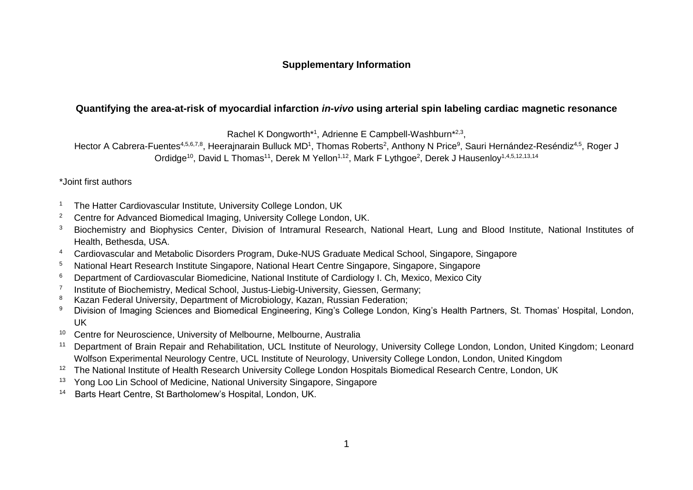## **Supplementary Information**

## **Quantifying the area-at-risk of myocardial infarction** *in-vivo* **using arterial spin labeling cardiac magnetic resonance**

Rachel K Dongworth\*1, Adrienne E Campbell-Washburn\*<sup>2,3</sup>,

Hector A Cabrera-Fuentes<sup>4,5,6,7,8</sup>, Heerajnarain Bulluck MD<sup>1</sup>, Thomas Roberts<sup>2</sup>, Anthony N Price<sup>9</sup>, Sauri Hernández-Reséndiz<sup>4,5</sup>, Roger J Ordidge<sup>10</sup>, David L Thomas<sup>11</sup>, Derek M Yellon<sup>1,12</sup>, Mark F Lythgoe<sup>2</sup>, Derek J Hausenloy<sup>1,4,5,12,13,14</sup>

\*Joint first authors

- <sup>1</sup> The Hatter Cardiovascular Institute, University College London, UK
- <sup>2</sup> Centre for Advanced Biomedical Imaging, University College London, UK.
- <sup>3</sup> Biochemistry and Biophysics Center, Division of Intramural Research, National Heart, Lung and Blood Institute, National Institutes of Health, Bethesda, USA.
- <sup>4</sup> Cardiovascular and Metabolic Disorders Program, Duke-NUS Graduate Medical School, Singapore, Singapore
- <sup>5</sup> National Heart Research Institute Singapore, National Heart Centre Singapore, Singapore, Singapore
- <sup>6</sup> Department of Cardiovascular Biomedicine, National Institute of Cardiology I. Ch, Mexico, Mexico City
- 7 Institute of Biochemistry, Medical School, Justus-Liebig-University, Giessen, Germany;
- Kazan Federal University, Department of Microbiology, Kazan, Russian Federation;
- <sup>9</sup> Division of Imaging Sciences and Biomedical Engineering, King's College London, King's Health Partners, St. Thomas' Hospital, London, UK
- <sup>10</sup> Centre for Neuroscience, University of Melbourne, Melbourne, Australia
- <sup>11</sup> Department of Brain Repair and Rehabilitation, UCL Institute of Neurology, University College London, London, United Kingdom; Leonard Wolfson Experimental Neurology Centre, UCL Institute of Neurology, University College London, London, United Kingdom
- <sup>12</sup> The National Institute of Health Research University College London Hospitals Biomedical Research Centre, London, UK
- <sup>13</sup> Yong Loo Lin School of Medicine, National University Singapore, Singapore
- 14 Barts Heart Centre, St Bartholomew's Hospital, London, UK.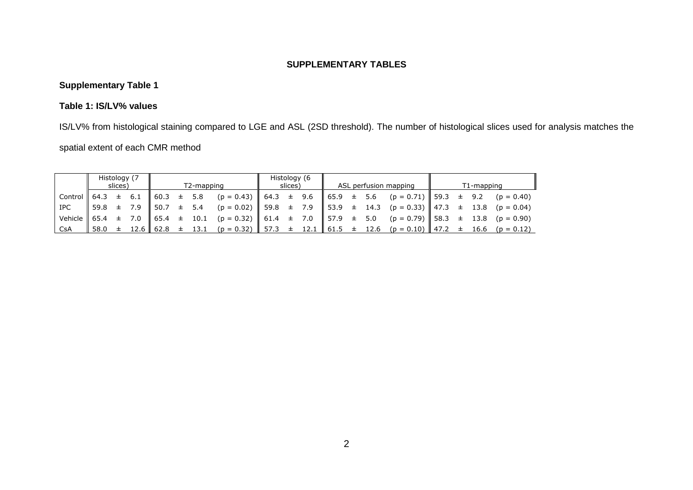#### **SUPPLEMENTARY TABLES**

# **Supplementary Table 1**

### **Table 1: IS/LV% values**

IS/LV% from histological staining compared to LGE and ASL (2SD threshold). The number of histological slices used for analysis matches the

## spatial extent of each CMR method

|                                    | Histology (7 | slices) |           |                                                     |       | T2-mapping |                                                           | slices) | Histology (6 |  | ASL perfusion mapping                                                      | T1-mapping |  |  |  |  |  |
|------------------------------------|--------------|---------|-----------|-----------------------------------------------------|-------|------------|-----------------------------------------------------------|---------|--------------|--|----------------------------------------------------------------------------|------------|--|--|--|--|--|
| $\vert$ Control $\vert$ 64.3 $\pm$ |              |         | 6.1       | 60.3                                                | $\pm$ | 5.8        | $(p = 0.43)$ 64.3 ± 9.6 65.9 ±                            |         |              |  | 5.6 ( $p = 0.71$ ) 59.3 ± 9.2 ( $p = 0.40$ )                               |            |  |  |  |  |  |
| <b>IPC</b>                         | 59.8         |         | $\pm$ 7.9 | 50.7                                                |       | $\pm$ 5.4  |                                                           |         |              |  | $(p = 0.02)$ 59.8 ± 7.9 53.9 ± 14.3 (p = 0.33) 47.3 ± 13.8 (p = 0.04)      |            |  |  |  |  |  |
| Vehicle $\  65.4 + 7.0$            |              |         |           | $\begin{array}{cccc} 65.4 & \pm & 10.1 \end{array}$ |       |            | $(p = 0.32)$ 61.4 $\pm$ 7.0 57.9 $\pm$ 5.0                |         |              |  | $(p = 0.79)$ 58.3 $\pm$ 13.8 (p = 0.90)                                    |            |  |  |  |  |  |
| CsA                                |              |         |           |                                                     |       |            | $58.0 \pm 12.6 \pm 62.8 \pm 13.1 \pm (p = 0.32) \pm 57.3$ |         |              |  | $\pm$ 12.1 $\ $ 61.5 $\pm$ 12.6 (p = 0.10) $\ $ 47.2 $\pm$ 16.6 (p = 0.12) |            |  |  |  |  |  |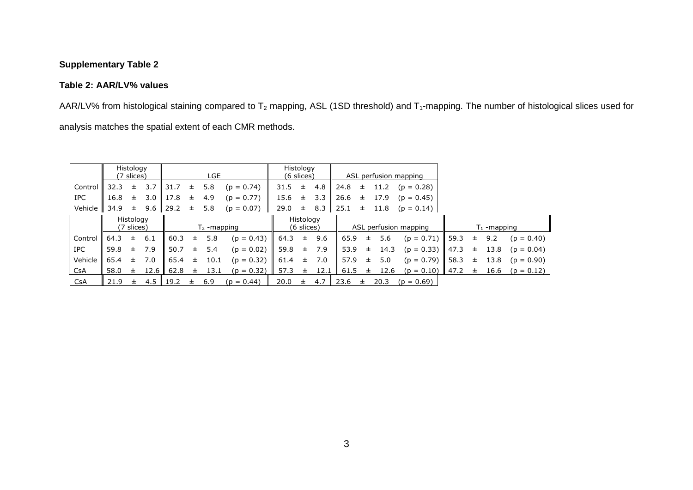## **Supplementary Table 2**

#### **Table 2: AAR/LV% values**

AAR/LV% from histological staining compared to  $T_2$  mapping, ASL (1SD threshold) and  $T_1$ -mapping. The number of histological slices used for analysis matches the spatial extent of each CMR methods.

|            |      | Histology<br>(7 slices) |      |              |       | LGE           |              |      | Histology<br>$(6 \text{ slices})$ |      |                  |       |                       | ASL perfusion mapping |      |   |      |              |
|------------|------|-------------------------|------|--------------|-------|---------------|--------------|------|-----------------------------------|------|------------------|-------|-----------------------|-----------------------|------|---|------|--------------|
| Control    | 32.3 | $\pm$                   | 3.7  | 31.7         | 士     | 5.8           | $(p = 0.74)$ | 31.5 | ±.                                | 4.8  | $\parallel$ 24.8 | ±.    | 11.2                  | $(p = 0.28)$          |      |   |      |              |
| IPC        | 16.8 | $\pm$                   | 3.0  | 17.8         | 士     | 4.9           | $(p = 0.77)$ | 15.6 | 士                                 | 3.3  | 26.6             | 士     | 17.9                  | $(p = 0.45)$          |      |   |      |              |
| Vehicle    | 34.9 | 士                       |      | $9.6$   29.2 | 士     | 5.8           | $(p = 0.07)$ | 29.0 | 土                                 | 8.3  | $\vert$ 25.1     | $\pm$ | 11.8                  | $(p = 0.14)$          |      |   |      |              |
|            |      | Histology<br>(7 slices) |      |              |       | $T2$ -mapping |              |      | Histology<br>(6 slices)           |      |                  |       | ASL perfusion mapping | $T_1$ -mapping        |      |   |      |              |
| Control    | 64.3 | 士                       | 6.1  | 60.3         | 士。    | 5.8           | $(p = 0.43)$ | 64.3 | $\pm$                             | 9.6  | 65.9             | 士     | 5.6                   | $(p = 0.71)$          | 59.3 | 士 | 9.2  | $(p = 0.40)$ |
| IPC.       | 59.8 | ±.                      | 7.9  | 50.7         | 士     | 5.4           | $(p = 0.02)$ | 59.8 | $\pm$                             | 7.9  | 53.9             | 士     | 14.3                  | $(p = 0.33)$          | 47.3 | 士 | 13.8 | $(p = 0.04)$ |
| Vehicle    | 65.4 | ±.                      | 7.0  | 65.4         | $\pm$ | 10.1          | $(p = 0.32)$ | 61.4 | 士                                 | 7.0  | 57.9             | $\pm$ | 5.0                   | $(p = 0.79)$          | 58.3 | 士 | 13.8 | $(p = 0.90)$ |
| <b>CsA</b> | 58.0 | 士                       | 12.6 | 62.8         | 士     | 13.1          | $(p = 0.32)$ | 57.3 | $\pm$                             | 12.1 | 61.5             | 士     | 12.6                  | $(p = 0.10)$          | 47.2 | 士 | 16.6 | $(p = 0.12)$ |
| CsA        | 21.9 | $\pm$                   | 4.5  | 19.2         | ±.    | 6.9           | $(p = 0.44)$ | 20.0 | ±.                                | 4.7  | $\parallel$ 23.6 | 士     | 20.3                  | $(p = 0.69)$          |      |   |      |              |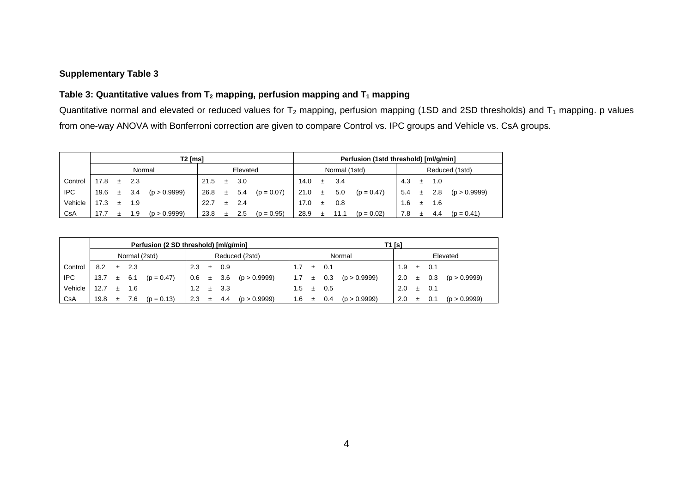#### **Supplementary Table 3**

### **Table 3: Quantitative values from T<sup>2</sup> mapping, perfusion mapping and T<sup>1</sup> mapping**

Quantitative normal and elevated or reduced values for  $T_2$  mapping, perfusion mapping (1SD and 2SD thresholds) and  $T_1$  mapping. p values from one-way ANOVA with Bonferroni correction are given to compare Control vs. IPC groups and Vehicle vs. CsA groups.

|         | T2 [ms] |       |      |              |      |       |          |              |      |   | Perfusion (1std threshold) [ml/q/min] |              |                |           |     |              |  |  |  |
|---------|---------|-------|------|--------------|------|-------|----------|--------------|------|---|---------------------------------------|--------------|----------------|-----------|-----|--------------|--|--|--|
|         |         |       |      | Normal       |      |       | Elevated |              |      |   | Normal (1std)                         |              | Reduced (1std) |           |     |              |  |  |  |
| Control | 17.8    |       | 2.3  |              | 21.5 |       | 3.0      |              | 14.0 | Ŧ | 3.4                                   |              | 4.3            |           | 1.0 |              |  |  |  |
| IPC.    | 19.6    | $\pm$ | 3.4  | (p > 0.9999) | 26.8 | $\pm$ | 5.4      | $(p = 0.07)$ | 21.0 | 士 | 5.0                                   | $(p = 0.47)$ | 5.4            |           | 2.8 | (p > 0.9999) |  |  |  |
| Vehicle |         | $+$   | 1.9  |              | 22.7 |       | 2.4      |              | 17.0 | 士 | 0.8                                   |              | 1.6            | $\ddot{}$ | 1.6 |              |  |  |  |
| CsA     | 17.7    |       | . .9 | (p > 0.9999) | 23.8 |       | 2.5      | $(p = 0.95)$ | 28.9 |   |                                       | $(p = 0.02)$ | 7.8            |           | 4.4 | $(p = 0.41)$ |  |  |  |

|         | Perfusion (2 SD threshold) [ml/g/min] |  |               |                           |                |   |           |                            |               |       | T1 [s] |                            |               |   |     |                            |  |  |  |  |
|---------|---------------------------------------|--|---------------|---------------------------|----------------|---|-----------|----------------------------|---------------|-------|--------|----------------------------|---------------|---|-----|----------------------------|--|--|--|--|
|         |                                       |  | Normal (2std) |                           | Reduced (2std) |   |           |                            |               |       |        | Normal                     | Elevated      |   |     |                            |  |  |  |  |
| Control | $8.2 \pm 2.3$                         |  |               |                           | 2.3            |   | $\pm$ 0.9 |                            |               | $\pm$ | 0.1    |                            | $1.9 \pm 0.1$ |   |     |                            |  |  |  |  |
| IPC     |                                       |  |               | 13.7 $\pm$ 6.1 (p = 0.47) |                |   |           | $0.6 \pm 3.6$ (p > 0.9999) |               |       |        | $1.7 \pm 0.3$ (p > 0.9999) |               |   |     | 2.0 $\pm$ 0.3 (p > 0.9999) |  |  |  |  |
| Vehicle | $12.7 \pm 1.6$                        |  |               |                           | 1.2            |   | $\pm$ 3.3 |                            | $1.5^{\circ}$ | $\pm$ | 0.5    |                            | $2.0 \pm 0.1$ |   |     |                            |  |  |  |  |
| CsA     | 19.8                                  |  | $\pm$ 7.6     | $(p = 0.13)$              | 2.3            | 土 |           | 4.4 ( $p > 0.9999$ )       | 1.6           |       | 0.4    | (p > 0.9999)               | 2.0           | 士 | 0.1 | (p > 0.9999)               |  |  |  |  |